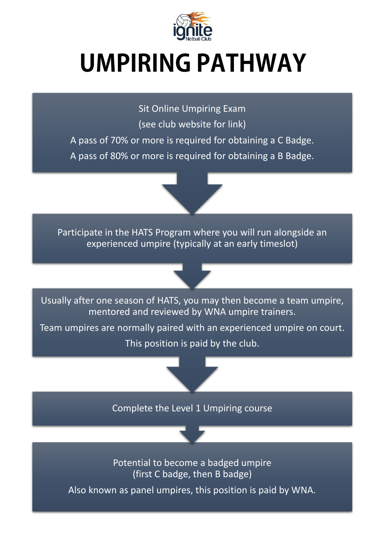

## **UMPIRING PATHWAY**

Sit Online Umpiring Exam (see club website for link) A pass of 70% or more is required for obtaining a C Badge. A pass of 80% or more is required for obtaining a B Badge.

Participate in the HATS Program where you will run alongside an experienced umpire (typically at an early timeslot)

Usually after one season of HATS, you may then become a team umpire, mentored and reviewed by WNA umpire trainers.

Team umpires are normally paired with an experienced umpire on court. This position is paid by the club.

Complete the Level 1 Umpiring course

Potential to become a badged umpire (first C badge, then B badge)

Also known as panel umpires, this position is paid by WNA.